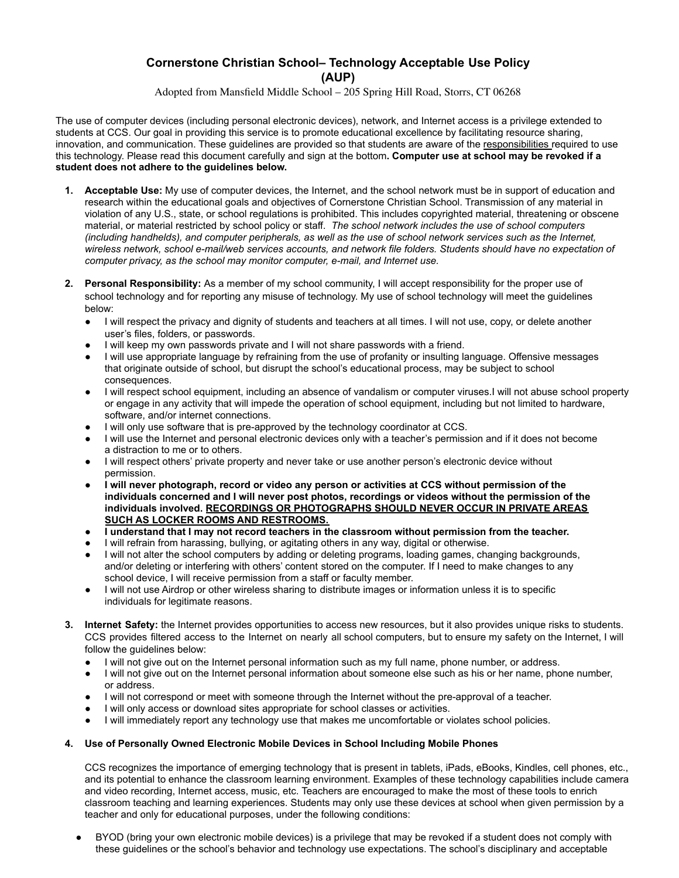## **Cornerstone Christian School– Technology Acceptable Use Policy (AUP)**

Adopted from Mansfield Middle School – 205 Spring Hill Road, Storrs, CT 06268

The use of computer devices (including personal electronic devices), network, and Internet access is a privilege extended to students at CCS. Our goal in providing this service is to promote educational excellence by facilitating resource sharing, innovation, and communication. These guidelines are provided so that students are aware of the responsibilities required to use this technology. Please read this document carefully and sign at the bottom**. Computer use at school may be revoked if a student does not adhere to the guidelines below.**

- **1. Acceptable Use:** My use of computer devices, the Internet, and the school network must be in support of education and research within the educational goals and objectives of Cornerstone Christian School. Transmission of any material in violation of any U.S., state, or school regulations is prohibited. This includes copyrighted material, threatening or obscene material, or material restricted by school policy or staff. *The school network includes the use of school computers (including handhelds), and computer peripherals, as well as the use of school network services such as the Internet, wireless network, school e-mail/web services accounts, and network file folders. Students should have no expectation of computer privacy, as the school may monitor computer, e-mail, and Internet use.*
- **2. Personal Responsibility:** As a member of my school community, I will accept responsibility for the proper use of school technology and for reporting any misuse of technology. My use of school technology will meet the guidelines below:
	- I will respect the privacy and dignity of students and teachers at all times. I will not use, copy, or delete another user's files, folders, or passwords.
	- I will keep my own passwords private and I will not share passwords with a friend.
	- I will use appropriate language by refraining from the use of profanity or insulting language. Offensive messages that originate outside of school, but disrupt the school's educational process, may be subject to school consequences.
	- I will respect school equipment, including an absence of vandalism or computer viruses.I will not abuse school property or engage in any activity that will impede the operation of school equipment, including but not limited to hardware, software, and/or internet connections.
	- I will only use software that is pre-approved by the technology coordinator at CCS.
	- I will use the Internet and personal electronic devices only with a teacher's permission and if it does not become a distraction to me or to others.
	- I will respect others' private property and never take or use another person's electronic device without permission.
	- **● I will never photograph, record or video any person or activities at CCS without permission of the individuals concerned and I will never post photos, recordings or videos without the permission of the individuals involved. RECORDINGS OR PHOTOGRAPHS SHOULD NEVER OCCUR IN PRIVATE AREAS SUCH AS LOCKER ROOMS AND RESTROOMS.**
	- **● I understand that I may not record teachers in the classroom without permission from the teacher.**
	- I will refrain from harassing, bullying, or agitating others in any way, digital or otherwise.
	- I will not alter the school computers by adding or deleting programs, loading games, changing backgrounds, and/or deleting or interfering with others' content stored on the computer. If I need to make changes to any school device, I will receive permission from a staff or faculty member.
	- I will not use Airdrop or other wireless sharing to distribute images or information unless it is to specific individuals for legitimate reasons.
- **3. Internet Safety:** the Internet provides opportunities to access new resources, but it also provides unique risks to students. CCS provides filtered access to the Internet on nearly all school computers, but to ensure my safety on the Internet, I will follow the guidelines below:
	- I will not give out on the Internet personal information such as my full name, phone number, or address.
	- I will not give out on the Internet personal information about someone else such as his or her name, phone number, or address.
	- I will not correspond or meet with someone through the Internet without the pre-approval of a teacher.
	- I will only access or download sites appropriate for school classes or activities.
	- I will immediately report any technology use that makes me uncomfortable or violates school policies.

## **4. Use of Personally Owned Electronic Mobile Devices in School Including Mobile Phones**

CCS recognizes the importance of emerging technology that is present in tablets, iPads, eBooks, Kindles, cell phones, etc., and its potential to enhance the classroom learning environment. Examples of these technology capabilities include camera and video recording, Internet access, music, etc. Teachers are encouraged to make the most of these tools to enrich classroom teaching and learning experiences. Students may only use these devices at school when given permission by a teacher and only for educational purposes, under the following conditions:

BYOD (bring your own electronic mobile devices) is a privilege that may be revoked if a student does not comply with these guidelines or the school's behavior and technology use expectations. The school's disciplinary and acceptable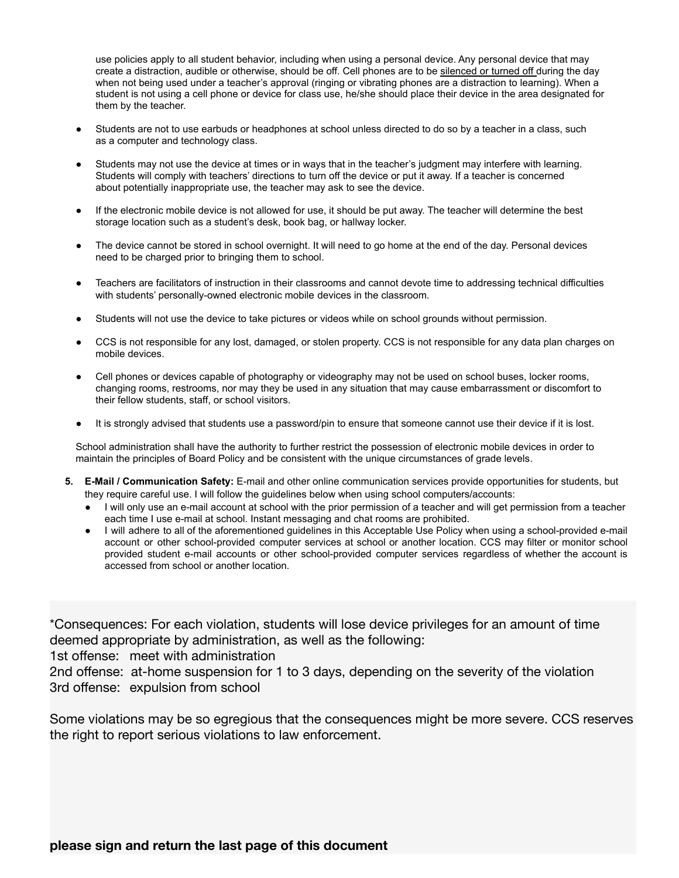use policies apply to all student behavior, including when using a personal device. Any personal device that may create a distraction, audible or otherwise, should be off. Cell phones are to be silenced or turned off during the day when not being used under a teacher's approval (ringing or vibrating phones are a distraction to learning). When a student is not using a cell phone or device for class use, he/she should place their device in the area designated for them by the teacher.

- Students are not to use earbuds or headphones at school unless directed to do so by a teacher in a class, such as a computer and technology class.
- Students may not use the device at times or in ways that in the teacher's judgment may interfere with learning. Students will comply with teachers' directions to turn off the device or put it away. If a teacher is concerned about potentially inappropriate use, the teacher may ask to see the device.
- If the electronic mobile device is not allowed for use, it should be put away. The teacher will determine the best storage location such as a student's desk, book bag, or hallway locker.
- The device cannot be stored in school overnight. It will need to go home at the end of the day. Personal devices need to be charged prior to bringing them to school.
- Teachers are facilitators of instruction in their classrooms and cannot devote time to addressing technical difficulties with students' personally-owned electronic mobile devices in the classroom.
- Students will not use the device to take pictures or videos while on school grounds without permission.
- CCS is not responsible for any lost, damaged, or stolen property. CCS is not responsible for any data plan charges on mobile devices.
- Cell phones or devices capable of photography or videography may not be used on school buses, locker rooms, changing rooms, restrooms, nor may they be used in any situation that may cause embarrassment or discomfort to their fellow students, staff, or school visitors.
- It is strongly advised that students use a password/pin to ensure that someone cannot use their device if it is lost.

School administration shall have the authority to further restrict the possession of electronic mobile devices in order to maintain the principles of Board Policy and be consistent with the unique circumstances of grade levels.

- **5. E-Mail / Communication Safety:** E-mail and other online communication services provide opportunities for students, but they require careful use. I will follow the guidelines below when using school computers/accounts:
	- I will only use an e-mail account at school with the prior permission of a teacher and will get permission from a teacher each time I use e-mail at school. Instant messaging and chat rooms are prohibited.
	- I will adhere to all of the aforementioned guidelines in this Acceptable Use Policy when using a school-provided e-mail account or other school-provided computer services at school or another location. CCS may filter or monitor school provided student e-mail accounts or other school-provided computer services regardless of whether the account is accessed from school or another location.

\*Consequences: For each violation, students will lose device privileges for an amount of time deemed appropriate by administration, as well as the following:

1st offense: meet with administration

2nd offense: at-home suspension for 1 to 3 days, depending on the severity of the violation 3rd offense: expulsion from school

Some violations may be so egregious that the consequences might be more severe. CCS reserves the right to report serious violations to law enforcement.